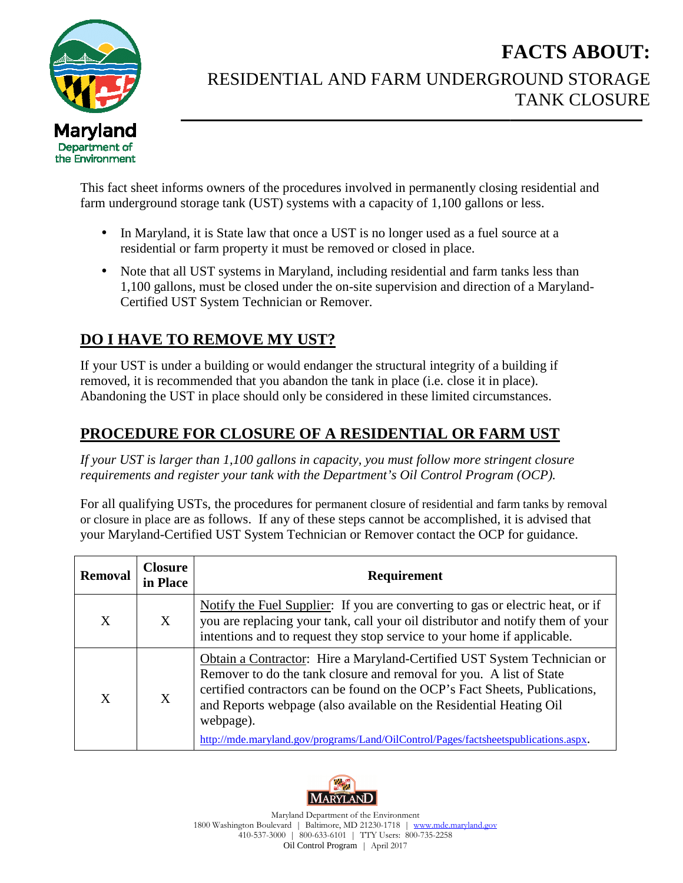

## RESIDENTIAL AND FARM UNDERGROUND STORAGE **FACTS ABOUT:** TANK CLOSURE

- In Maryland, it is State law that once a UST is no longer used as a fuel source at a residential or farm property it must be removed or closed in place. It is stact sheet informs owners of the procedures involved in permanently closing residential and underground storage tank (UST) systems with a capacity of 1,100 gallons or less.<br>
• In Maryland, it is State law that once
- 1,100 gallons, must be closed under the on-site supervision and direction of a Maryland-Certified UST System Technician Technician or Remover.

## **DO I HAVE TO REMOVE MY UST? I HAVE TO MY UST?**

## **PROCEDURE FOR CLOSURE CLOSURE OF A RESIDENTIAL OR FARM FARM UST**

|                                       |                            | <b>FACTS ABOUT:</b>                                                                                                                                                                                                                                                                                                                                                                                    |
|---------------------------------------|----------------------------|--------------------------------------------------------------------------------------------------------------------------------------------------------------------------------------------------------------------------------------------------------------------------------------------------------------------------------------------------------------------------------------------------------|
|                                       |                            | RESIDENTIAL AND FARM UNDERGROUND STORAGE<br><b>TANK CLOSURE</b>                                                                                                                                                                                                                                                                                                                                        |
| aryland<br>partment of<br>Environment |                            |                                                                                                                                                                                                                                                                                                                                                                                                        |
|                                       |                            | This fact sheet informs owners of the procedures involved in permanently closing residential and<br>farm underground storage tank (UST) systems with a capacity of 1,100 gallons or less.                                                                                                                                                                                                              |
|                                       |                            | In Maryland, it is State law that once a UST is no longer used as a fuel source at a<br>residential or farm property it must be removed or closed in place.                                                                                                                                                                                                                                            |
|                                       |                            | Note that all UST systems in Maryland, including residential and farm tanks less than<br>1,100 gallons, must be closed under the on-site supervision and direction of a Maryland-<br>Certified UST System Technician or Remover.                                                                                                                                                                       |
|                                       |                            | <b>DO I HAVE TO REMOVE MY UST?</b>                                                                                                                                                                                                                                                                                                                                                                     |
|                                       |                            | If your UST is under a building or would endanger the structural integrity of a building if<br>removed, it is recommended that you abandon the tank in place (i.e. close it in place).<br>Abandoning the UST in place should only be considered in these limited circumstances.                                                                                                                        |
|                                       |                            | PROCEDURE FOR CLOSURE OF A RESIDENTIAL OR FARM UST                                                                                                                                                                                                                                                                                                                                                     |
|                                       |                            | If your UST is larger than 1,100 gallons in capacity, you must follow more stringent closure<br>requirements and register your tank with the Department's Oil Control Program (OCP).                                                                                                                                                                                                                   |
|                                       |                            | For all qualifying USTs, the procedures for permanent closure of residential and farm tanks by removal<br>or closure in place are as follows. If any of these steps cannot be accomplished, it is advised that<br>your Maryland-Certified UST System Technician or Remover contact the OCP for guidance.                                                                                               |
| <b>Removal</b>                        | <b>Closure</b><br>in Place | Requirement                                                                                                                                                                                                                                                                                                                                                                                            |
| X                                     | X                          | Notify the Fuel Supplier: If you are converting to gas or electric heat, or if<br>you are replacing your tank, call your oil distributor and notify them of your<br>intentions and to request they stop service to your home if applicable.                                                                                                                                                            |
| X                                     | X                          | Obtain a Contractor: Hire a Maryland-Certified UST System Technician or<br>Remover to do the tank closure and removal for you. A list of State<br>certified contractors can be found on the OCP's Fact Sheets, Publications,<br>and Reports webpage (also available on the Residential Heating Oil<br>webpage).<br>http://mde.maryland.gov/programs/Land/OilControl/Pages/factsheetspublications.aspx. |
|                                       |                            |                                                                                                                                                                                                                                                                                                                                                                                                        |



1800 Washington Boulevard | Baltimore, MD 21230-1718 | www.mde.maryland.gov 410-537 537-3000 | 800-633-6101 | TTY Users: 800-735-2258 Maryland Department of the Environment Oil Control Program | April 2017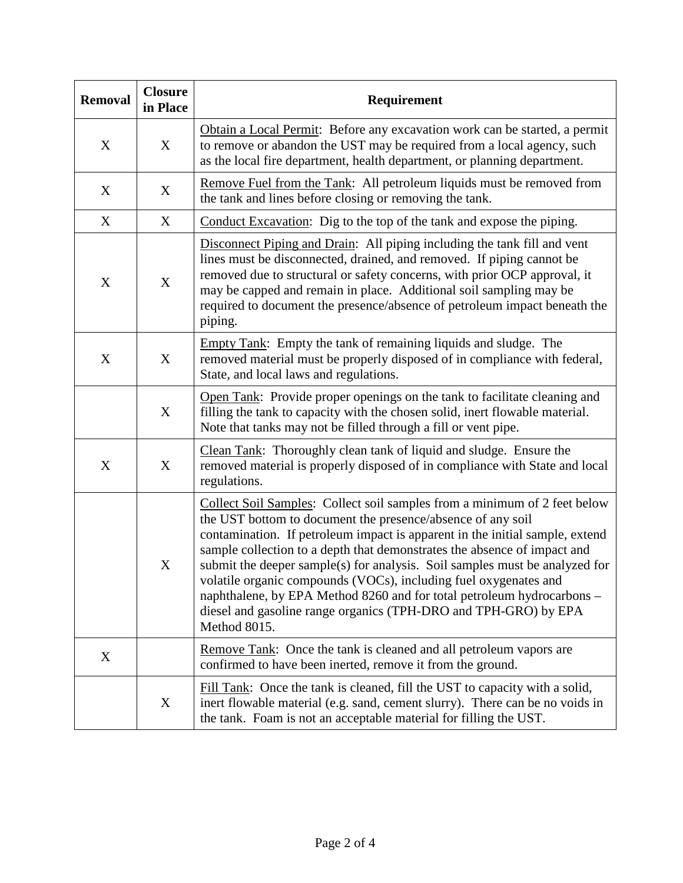| <b>Removal</b>   | <b>Closure</b><br>in Place | Requirement                                                                                                                                                                                                                                                                                                                                                                                                                                                                                                                                                                                                          |
|------------------|----------------------------|----------------------------------------------------------------------------------------------------------------------------------------------------------------------------------------------------------------------------------------------------------------------------------------------------------------------------------------------------------------------------------------------------------------------------------------------------------------------------------------------------------------------------------------------------------------------------------------------------------------------|
| X                | X                          | Obtain a Local Permit: Before any excavation work can be started, a permit<br>to remove or abandon the UST may be required from a local agency, such<br>as the local fire department, health department, or planning department.                                                                                                                                                                                                                                                                                                                                                                                     |
| X                | X                          | Remove Fuel from the Tank: All petroleum liquids must be removed from<br>the tank and lines before closing or removing the tank.                                                                                                                                                                                                                                                                                                                                                                                                                                                                                     |
| X                | X                          | Conduct Excavation: Dig to the top of the tank and expose the piping.                                                                                                                                                                                                                                                                                                                                                                                                                                                                                                                                                |
| X                | X                          | Disconnect Piping and Drain: All piping including the tank fill and vent<br>lines must be disconnected, drained, and removed. If piping cannot be<br>removed due to structural or safety concerns, with prior OCP approval, it<br>may be capped and remain in place. Additional soil sampling may be<br>required to document the presence/absence of petroleum impact beneath the<br>piping.                                                                                                                                                                                                                         |
| X                | X                          | Empty Tank: Empty the tank of remaining liquids and sludge. The<br>removed material must be properly disposed of in compliance with federal,<br>State, and local laws and regulations.                                                                                                                                                                                                                                                                                                                                                                                                                               |
|                  | X                          | Open Tank: Provide proper openings on the tank to facilitate cleaning and<br>filling the tank to capacity with the chosen solid, inert flowable material.<br>Note that tanks may not be filled through a fill or vent pipe.                                                                                                                                                                                                                                                                                                                                                                                          |
| $\boldsymbol{X}$ | X                          | Clean Tank: Thoroughly clean tank of liquid and sludge. Ensure the<br>removed material is properly disposed of in compliance with State and local<br>regulations.                                                                                                                                                                                                                                                                                                                                                                                                                                                    |
|                  | $\boldsymbol{X}$           | Collect Soil Samples: Collect soil samples from a minimum of 2 feet below<br>the UST bottom to document the presence/absence of any soil<br>contamination. If petroleum impact is apparent in the initial sample, extend<br>sample collection to a depth that demonstrates the absence of impact and<br>submit the deeper sample(s) for analysis. Soil samples must be analyzed for<br>volatile organic compounds (VOCs), including fuel oxygenates and<br>naphthalene, by EPA Method 8260 and for total petroleum hydrocarbons -<br>diesel and gasoline range organics (TPH-DRO and TPH-GRO) by EPA<br>Method 8015. |
| X                |                            | Remove Tank: Once the tank is cleaned and all petroleum vapors are<br>confirmed to have been inerted, remove it from the ground.                                                                                                                                                                                                                                                                                                                                                                                                                                                                                     |
|                  | X                          | Fill Tank: Once the tank is cleaned, fill the UST to capacity with a solid,<br>inert flowable material (e.g. sand, cement slurry). There can be no voids in<br>the tank. Foam is not an acceptable material for filling the UST.                                                                                                                                                                                                                                                                                                                                                                                     |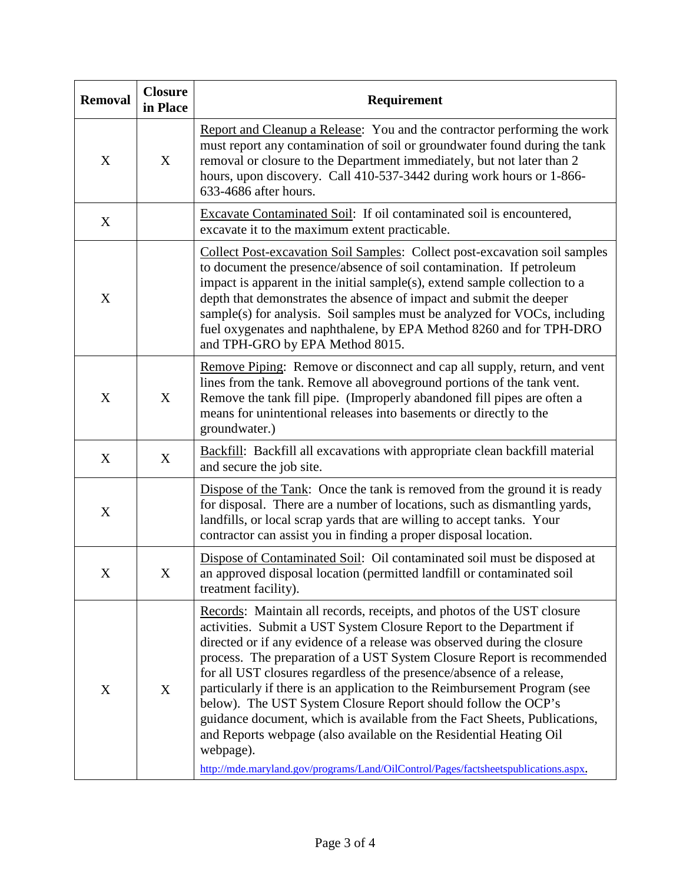| <b>Removal</b> | <b>Closure</b><br>in Place | Requirement                                                                                                                                                                                                                                                                                                                                                                                                                                                                                                                                                                                                                                                                                                                                                                       |
|----------------|----------------------------|-----------------------------------------------------------------------------------------------------------------------------------------------------------------------------------------------------------------------------------------------------------------------------------------------------------------------------------------------------------------------------------------------------------------------------------------------------------------------------------------------------------------------------------------------------------------------------------------------------------------------------------------------------------------------------------------------------------------------------------------------------------------------------------|
| X              | X                          | Report and Cleanup a Release: You and the contractor performing the work<br>must report any contamination of soil or groundwater found during the tank<br>removal or closure to the Department immediately, but not later than 2<br>hours, upon discovery. Call 410-537-3442 during work hours or 1-866-<br>633-4686 after hours.                                                                                                                                                                                                                                                                                                                                                                                                                                                 |
| X              |                            | Excavate Contaminated Soil: If oil contaminated soil is encountered,<br>excavate it to the maximum extent practicable.                                                                                                                                                                                                                                                                                                                                                                                                                                                                                                                                                                                                                                                            |
| X              |                            | Collect Post-excavation Soil Samples: Collect post-excavation soil samples<br>to document the presence/absence of soil contamination. If petroleum<br>impact is apparent in the initial sample(s), extend sample collection to a<br>depth that demonstrates the absence of impact and submit the deeper<br>sample(s) for analysis. Soil samples must be analyzed for VOCs, including<br>fuel oxygenates and naphthalene, by EPA Method 8260 and for TPH-DRO<br>and TPH-GRO by EPA Method 8015.                                                                                                                                                                                                                                                                                    |
| X              | X                          | Remove Piping: Remove or disconnect and cap all supply, return, and vent<br>lines from the tank. Remove all aboveground portions of the tank vent.<br>Remove the tank fill pipe. (Improperly abandoned fill pipes are often a<br>means for unintentional releases into basements or directly to the<br>groundwater.)                                                                                                                                                                                                                                                                                                                                                                                                                                                              |
| X              | X                          | <b>Backfill:</b> Backfill all excavations with appropriate clean backfill material<br>and secure the job site.                                                                                                                                                                                                                                                                                                                                                                                                                                                                                                                                                                                                                                                                    |
| X              |                            | Dispose of the Tank: Once the tank is removed from the ground it is ready<br>for disposal. There are a number of locations, such as dismantling yards,<br>landfills, or local scrap yards that are willing to accept tanks. Your<br>contractor can assist you in finding a proper disposal location.                                                                                                                                                                                                                                                                                                                                                                                                                                                                              |
| X              | X                          | Dispose of Contaminated Soil: Oil contaminated soil must be disposed at<br>an approved disposal location (permitted landfill or contaminated soil<br>treatment facility).                                                                                                                                                                                                                                                                                                                                                                                                                                                                                                                                                                                                         |
| X              | X                          | Records: Maintain all records, receipts, and photos of the UST closure<br>activities. Submit a UST System Closure Report to the Department if<br>directed or if any evidence of a release was observed during the closure<br>process. The preparation of a UST System Closure Report is recommended<br>for all UST closures regardless of the presence/absence of a release,<br>particularly if there is an application to the Reimbursement Program (see<br>below). The UST System Closure Report should follow the OCP's<br>guidance document, which is available from the Fact Sheets, Publications,<br>and Reports webpage (also available on the Residential Heating Oil<br>webpage).<br>http://mde.maryland.gov/programs/Land/OilControl/Pages/factsheetspublications.aspx. |